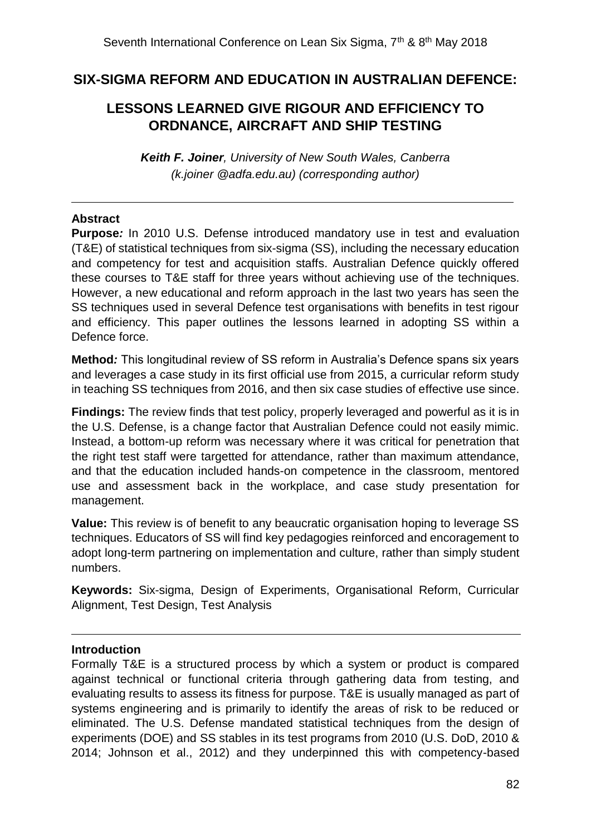## **SIX-SIGMA REFORM AND EDUCATION IN AUSTRALIAN DEFENCE:**

# **LESSONS LEARNED GIVE RIGOUR AND EFFICIENCY TO ORDNANCE, AIRCRAFT AND SHIP TESTING**

*Keith F. Joiner, University of New South Wales, Canberra (k.joiner @adfa.edu.au) (corresponding author)*

### **Abstract**

-

**Purpose***:* In 2010 U.S. Defense introduced mandatory use in test and evaluation (T&E) of statistical techniques from six-sigma (SS), including the necessary education and competency for test and acquisition staffs. Australian Defence quickly offered these courses to T&E staff for three years without achieving use of the techniques. However, a new educational and reform approach in the last two years has seen the SS techniques used in several Defence test organisations with benefits in test rigour and efficiency. This paper outlines the lessons learned in adopting SS within a Defence force.

**Method***:* This longitudinal review of SS reform in Australia's Defence spans six years and leverages a case study in its first official use from 2015, a curricular reform study in teaching SS techniques from 2016, and then six case studies of effective use since.

**Findings:** The review finds that test policy, properly leveraged and powerful as it is in the U.S. Defense, is a change factor that Australian Defence could not easily mimic. Instead, a bottom-up reform was necessary where it was critical for penetration that the right test staff were targetted for attendance, rather than maximum attendance, and that the education included hands-on competence in the classroom, mentored use and assessment back in the workplace, and case study presentation for management.

**Value:** This review is of benefit to any beaucratic organisation hoping to leverage SS techniques. Educators of SS will find key pedagogies reinforced and encoragement to adopt long-term partnering on implementation and culture, rather than simply student numbers.

**Keywords:** Six-sigma, Design of Experiments, Organisational Reform, Curricular Alignment, Test Design, Test Analysis

### **Introduction**

 $\overline{a}$ 

Formally T&E is a structured process by which a system or product is compared against technical or functional criteria through gathering data from testing, and evaluating results to assess its fitness for purpose. T&E is usually managed as part of systems engineering and is primarily to identify the areas of risk to be reduced or eliminated. The U.S. Defense mandated statistical techniques from the design of experiments (DOE) and SS stables in its test programs from 2010 (U.S. DoD, 2010 & 2014; Johnson et al., 2012) and they underpinned this with competency-based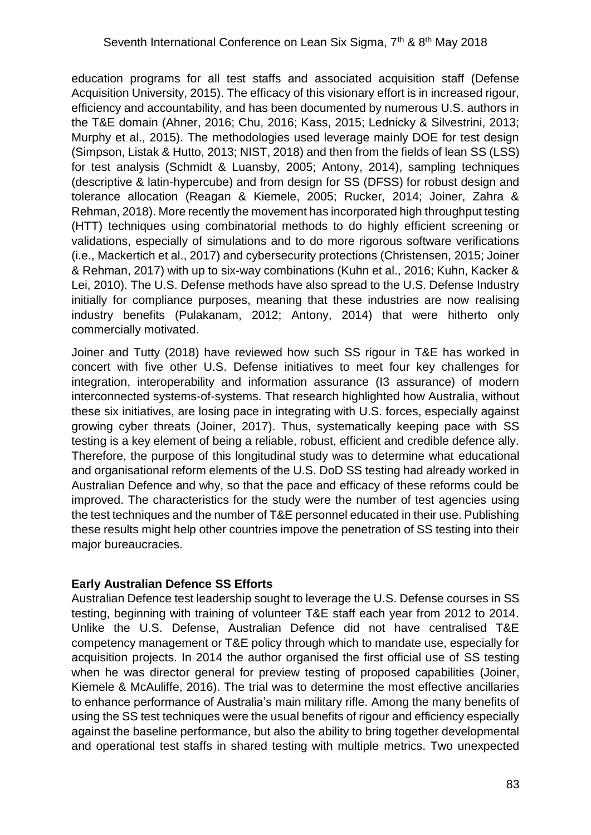education programs for all test staffs and associated acquisition staff (Defense Acquisition University, 2015). The efficacy of this visionary effort is in increased rigour, efficiency and accountability, and has been documented by numerous U.S. authors in the T&E domain (Ahner, 2016; Chu, 2016; Kass, 2015; Lednicky & Silvestrini, 2013; Murphy et al., 2015). The methodologies used leverage mainly DOE for test design (Simpson, Listak & Hutto, 2013; NIST, 2018) and then from the fields of lean SS (LSS) for test analysis (Schmidt & Luansby, 2005; Antony, 2014), sampling techniques (descriptive & latin-hypercube) and from design for SS (DFSS) for robust design and tolerance allocation (Reagan & Kiemele, 2005; Rucker, 2014; Joiner, Zahra & Rehman, 2018). More recently the movement has incorporated high throughput testing (HTT) techniques using combinatorial methods to do highly efficient screening or validations, especially of simulations and to do more rigorous software verifications (i.e., Mackertich et al., 2017) and cybersecurity protections (Christensen, 2015; Joiner & Rehman, 2017) with up to six-way combinations (Kuhn et al., 2016; Kuhn, Kacker & Lei, 2010). The U.S. Defense methods have also spread to the U.S. Defense Industry initially for compliance purposes, meaning that these industries are now realising industry benefits (Pulakanam, 2012; Antony, 2014) that were hitherto only commercially motivated.

Joiner and Tutty (2018) have reviewed how such SS rigour in T&E has worked in concert with five other U.S. Defense initiatives to meet four key challenges for integration, interoperability and information assurance (I3 assurance) of modern interconnected systems-of-systems. That research highlighted how Australia, without these six initiatives, are losing pace in integrating with U.S. forces, especially against growing cyber threats (Joiner, 2017). Thus, systematically keeping pace with SS testing is a key element of being a reliable, robust, efficient and credible defence ally. Therefore, the purpose of this longitudinal study was to determine what educational and organisational reform elements of the U.S. DoD SS testing had already worked in Australian Defence and why, so that the pace and efficacy of these reforms could be improved. The characteristics for the study were the number of test agencies using the test techniques and the number of T&E personnel educated in their use. Publishing these results might help other countries impove the penetration of SS testing into their major bureaucracies.

## **Early Australian Defence SS Efforts**

Australian Defence test leadership sought to leverage the U.S. Defense courses in SS testing, beginning with training of volunteer T&E staff each year from 2012 to 2014. Unlike the U.S. Defense, Australian Defence did not have centralised T&E competency management or T&E policy through which to mandate use, especially for acquisition projects. In 2014 the author organised the first official use of SS testing when he was director general for preview testing of proposed capabilities (Joiner, Kiemele & McAuliffe, 2016). The trial was to determine the most effective ancillaries to enhance performance of Australia's main military rifle. Among the many benefits of using the SS test techniques were the usual benefits of rigour and efficiency especially against the baseline performance, but also the ability to bring together developmental and operational test staffs in shared testing with multiple metrics. Two unexpected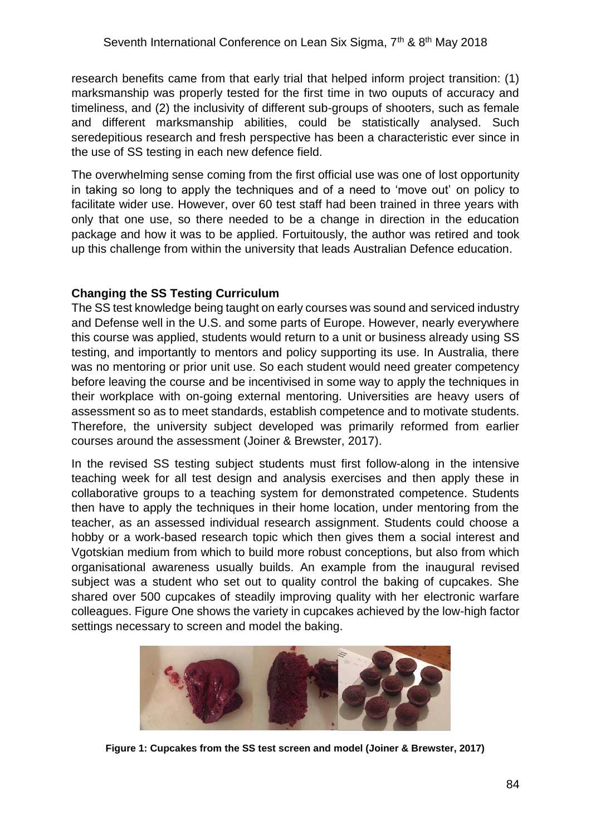research benefits came from that early trial that helped inform project transition: (1) marksmanship was properly tested for the first time in two ouputs of accuracy and timeliness, and (2) the inclusivity of different sub-groups of shooters, such as female and different marksmanship abilities, could be statistically analysed. Such seredepitious research and fresh perspective has been a characteristic ever since in the use of SS testing in each new defence field.

The overwhelming sense coming from the first official use was one of lost opportunity in taking so long to apply the techniques and of a need to 'move out' on policy to facilitate wider use. However, over 60 test staff had been trained in three years with only that one use, so there needed to be a change in direction in the education package and how it was to be applied. Fortuitously, the author was retired and took up this challenge from within the university that leads Australian Defence education.

### **Changing the SS Testing Curriculum**

The SS test knowledge being taught on early courses was sound and serviced industry and Defense well in the U.S. and some parts of Europe. However, nearly everywhere this course was applied, students would return to a unit or business already using SS testing, and importantly to mentors and policy supporting its use. In Australia, there was no mentoring or prior unit use. So each student would need greater competency before leaving the course and be incentivised in some way to apply the techniques in their workplace with on-going external mentoring. Universities are heavy users of assessment so as to meet standards, establish competence and to motivate students. Therefore, the university subject developed was primarily reformed from earlier courses around the assessment (Joiner & Brewster, 2017).

In the revised SS testing subject students must first follow-along in the intensive teaching week for all test design and analysis exercises and then apply these in collaborative groups to a teaching system for demonstrated competence. Students then have to apply the techniques in their home location, under mentoring from the teacher, as an assessed individual research assignment. Students could choose a hobby or a work-based research topic which then gives them a social interest and Vgotskian medium from which to build more robust conceptions, but also from which organisational awareness usually builds. An example from the inaugural revised subject was a student who set out to quality control the baking of cupcakes. She shared over 500 cupcakes of steadily improving quality with her electronic warfare colleagues. Figure One shows the variety in cupcakes achieved by the low-high factor settings necessary to screen and model the baking.



**Figure 1: Cupcakes from the SS test screen and model (Joiner & Brewster, 2017)**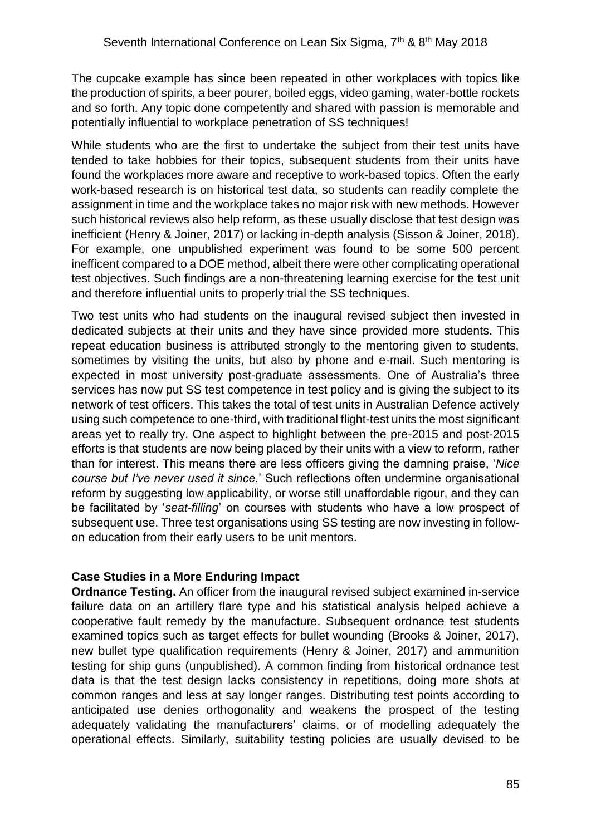The cupcake example has since been repeated in other workplaces with topics like the production of spirits, a beer pourer, boiled eggs, video gaming, water-bottle rockets and so forth. Any topic done competently and shared with passion is memorable and potentially influential to workplace penetration of SS techniques!

While students who are the first to undertake the subject from their test units have tended to take hobbies for their topics, subsequent students from their units have found the workplaces more aware and receptive to work-based topics. Often the early work-based research is on historical test data, so students can readily complete the assignment in time and the workplace takes no major risk with new methods. However such historical reviews also help reform, as these usually disclose that test design was inefficient (Henry & Joiner, 2017) or lacking in-depth analysis (Sisson & Joiner, 2018). For example, one unpublished experiment was found to be some 500 percent inefficent compared to a DOE method, albeit there were other complicating operational test objectives. Such findings are a non-threatening learning exercise for the test unit and therefore influential units to properly trial the SS techniques.

Two test units who had students on the inaugural revised subject then invested in dedicated subjects at their units and they have since provided more students. This repeat education business is attributed strongly to the mentoring given to students, sometimes by visiting the units, but also by phone and e-mail. Such mentoring is expected in most university post-graduate assessments. One of Australia's three services has now put SS test competence in test policy and is giving the subject to its network of test officers. This takes the total of test units in Australian Defence actively using such competence to one-third, with traditional flight-test units the most significant areas yet to really try. One aspect to highlight between the pre-2015 and post-2015 efforts is that students are now being placed by their units with a view to reform, rather than for interest. This means there are less officers giving the damning praise, '*Nice course but I've never used it since.*' Such reflections often undermine organisational reform by suggesting low applicability, or worse still unaffordable rigour, and they can be facilitated by '*seat-filling*' on courses with students who have a low prospect of subsequent use. Three test organisations using SS testing are now investing in followon education from their early users to be unit mentors.

### **Case Studies in a More Enduring Impact**

**Ordnance Testing.** An officer from the inaugural revised subject examined in-service failure data on an artillery flare type and his statistical analysis helped achieve a cooperative fault remedy by the manufacture. Subsequent ordnance test students examined topics such as target effects for bullet wounding (Brooks & Joiner, 2017), new bullet type qualification requirements (Henry & Joiner, 2017) and ammunition testing for ship guns (unpublished). A common finding from historical ordnance test data is that the test design lacks consistency in repetitions, doing more shots at common ranges and less at say longer ranges. Distributing test points according to anticipated use denies orthogonality and weakens the prospect of the testing adequately validating the manufacturers' claims, or of modelling adequately the operational effects. Similarly, suitability testing policies are usually devised to be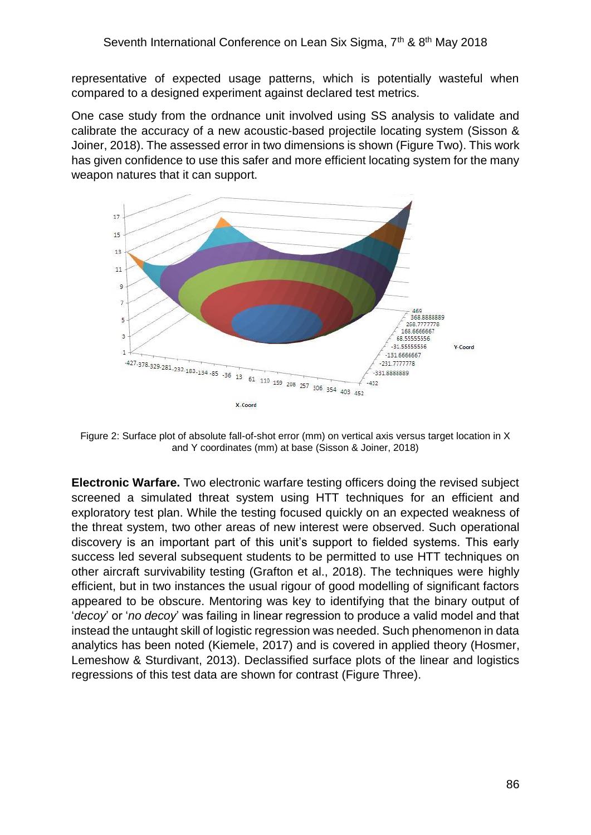representative of expected usage patterns, which is potentially wasteful when compared to a designed experiment against declared test metrics.

One case study from the ordnance unit involved using SS analysis to validate and calibrate the accuracy of a new acoustic-based projectile locating system (Sisson & Joiner, 2018). The assessed error in two dimensions is shown (Figure Two). This work has given confidence to use this safer and more efficient locating system for the many weapon natures that it can support.



Figure 2: Surface plot of absolute fall-of-shot error (mm) on vertical axis versus target location in X and Y coordinates (mm) at base (Sisson & Joiner, 2018)

**Electronic Warfare.** Two electronic warfare testing officers doing the revised subject screened a simulated threat system using HTT techniques for an efficient and exploratory test plan. While the testing focused quickly on an expected weakness of the threat system, two other areas of new interest were observed. Such operational discovery is an important part of this unit's support to fielded systems. This early success led several subsequent students to be permitted to use HTT techniques on other aircraft survivability testing (Grafton et al., 2018). The techniques were highly efficient, but in two instances the usual rigour of good modelling of significant factors appeared to be obscure. Mentoring was key to identifying that the binary output of '*decoy*' or '*no decoy*' was failing in linear regression to produce a valid model and that instead the untaught skill of logistic regression was needed. Such phenomenon in data analytics has been noted (Kiemele, 2017) and is covered in applied theory (Hosmer, Lemeshow & Sturdivant, 2013). Declassified surface plots of the linear and logistics regressions of this test data are shown for contrast (Figure Three).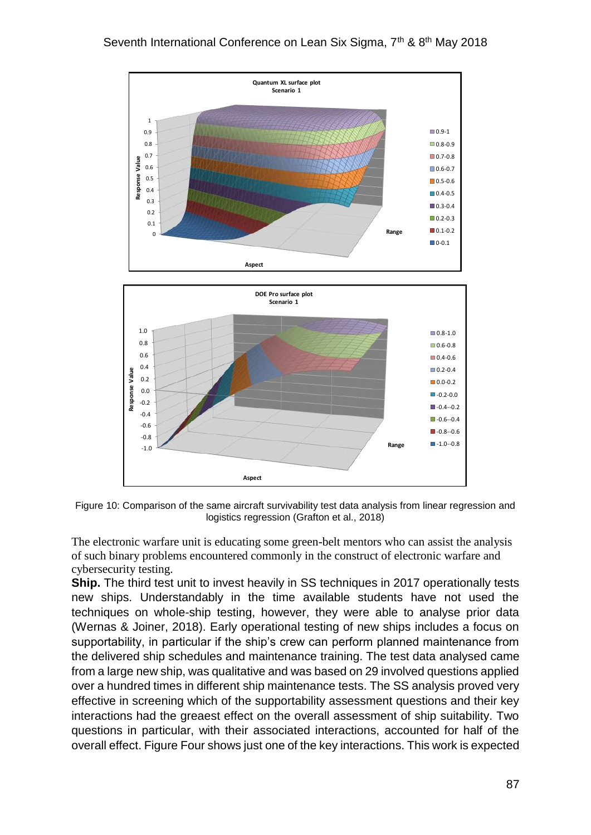

Figure 10: Comparison of the same aircraft survivability test data analysis from linear regression and logistics regression (Grafton et al., 2018)

The electronic warfare unit is educating some green-belt mentors who can assist the analysis of such binary problems encountered commonly in the construct of electronic warfare and cybersecurity testing.

**Ship.** The third test unit to invest heavily in SS techniques in 2017 operationally tests new ships. Understandably in the time available students have not used the techniques on whole-ship testing, however, they were able to analyse prior data (Wernas & Joiner, 2018). Early operational testing of new ships includes a focus on supportability, in particular if the ship's crew can perform planned maintenance from the delivered ship schedules and maintenance training. The test data analysed came from a large new ship, was qualitative and was based on 29 involved questions applied over a hundred times in different ship maintenance tests. The SS analysis proved very effective in screening which of the supportability assessment questions and their key interactions had the greaest effect on the overall assessment of ship suitability. Two questions in particular, with their associated interactions, accounted for half of the overall effect. Figure Four shows just one of the key interactions. This work is expected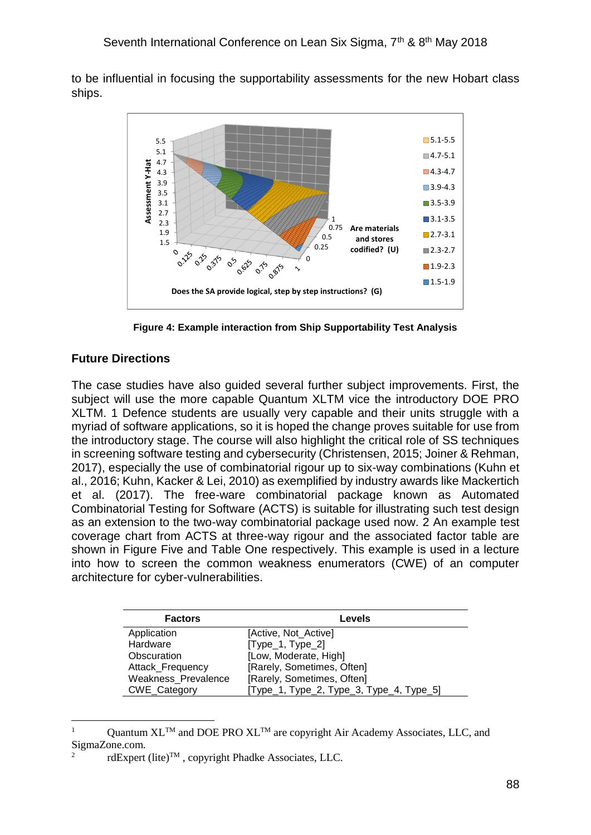to be influential in focusing the supportability assessments for the new Hobart class ships.



**Figure 4: Example interaction from Ship Supportability Test Analysis**

## **Future Directions**

1

The case studies have also guided several further subject improvements. First, the subject will use the more capable Quantum XLTM vice the introductory DOE PRO XLTM. 1 Defence students are usually very capable and their units struggle with a myriad of software applications, so it is hoped the change proves suitable for use from the introductory stage. The course will also highlight the critical role of SS techniques in screening software testing and cybersecurity (Christensen, 2015; Joiner & Rehman, 2017), especially the use of combinatorial rigour up to six-way combinations (Kuhn et al., 2016; Kuhn, Kacker & Lei, 2010) as exemplified by industry awards like Mackertich et al. (2017). The free-ware combinatorial package known as Automated Combinatorial Testing for Software (ACTS) is suitable for illustrating such test design as an extension to the two-way combinatorial package used now. 2 An example test coverage chart from ACTS at three-way rigour and the associated factor table are shown in Figure Five and Table One respectively. This example is used in a lecture into how to screen the common weakness enumerators (CWE) of an computer architecture for cyber-vulnerabilities.

| <b>Factors</b>             | Levels                                   |
|----------------------------|------------------------------------------|
| Application                | [Active, Not_Active]                     |
| Hardware                   | $[Type_1, Type_2]$                       |
| Obscuration                | [Low, Moderate, High]                    |
| Attack_Frequency           | [Rarely, Sometimes, Often]               |
| <b>Weakness Prevalence</b> | [Rarely, Sometimes, Often]               |
| CWE_Category               | [Type_1, Type_2, Type_3, Type_4, Type_5] |

Quantum  $XL^{TM}$  and DOE PRO  $XL^{TM}$  are copyright Air Academy Associates, LLC, and SigmaZone.com. 2

rdExpert (lite)<sup>™</sup>, copyright Phadke Associates, LLC.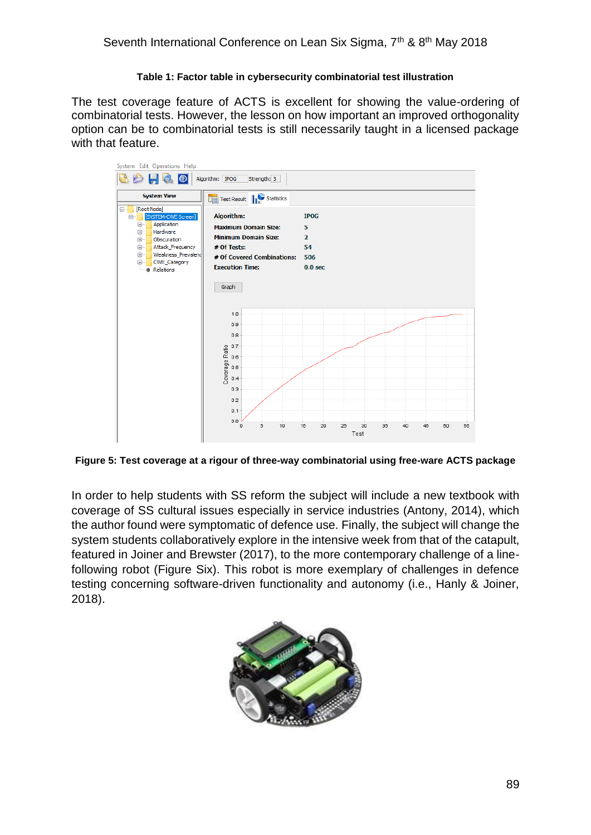#### **Table 1: Factor table in cybersecurity combinatorial test illustration**

The test coverage feature of ACTS is excellent for showing the value-ordering of combinatorial tests. However, the lesson on how important an improved orthogonality option can be to combinatorial tests is still necessarily taught in a licensed package with that feature.

![](_page_7_Figure_3.jpeg)

**Figure 5: Test coverage at a rigour of three-way combinatorial using free-ware ACTS package**

In order to help students with SS reform the subject will include a new textbook with coverage of SS cultural issues especially in service industries (Antony, 2014), which the author found were symptomatic of defence use. Finally, the subject will change the system students collaboratively explore in the intensive week from that of the catapult, featured in Joiner and Brewster (2017), to the more contemporary challenge of a linefollowing robot (Figure Six). This robot is more exemplary of challenges in defence testing concerning software-driven functionality and autonomy (i.e., Hanly & Joiner, 2018).

![](_page_7_Picture_6.jpeg)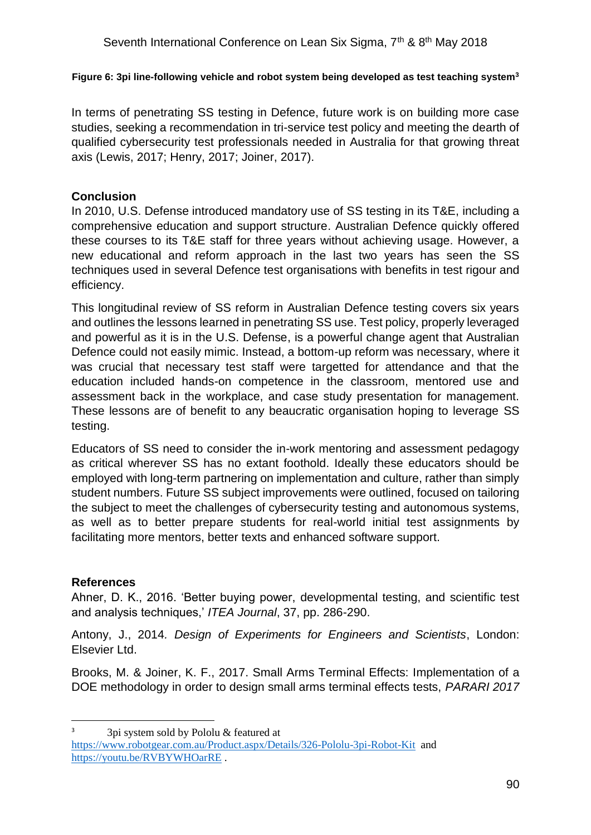#### **Figure 6: 3pi line-following vehicle and robot system being developed as test teaching system<sup>3</sup>**

In terms of penetrating SS testing in Defence, future work is on building more case studies, seeking a recommendation in tri-service test policy and meeting the dearth of qualified cybersecurity test professionals needed in Australia for that growing threat axis (Lewis, 2017; Henry, 2017; Joiner, 2017).

## **Conclusion**

In 2010, U.S. Defense introduced mandatory use of SS testing in its T&E, including a comprehensive education and support structure. Australian Defence quickly offered these courses to its T&E staff for three years without achieving usage. However, a new educational and reform approach in the last two years has seen the SS techniques used in several Defence test organisations with benefits in test rigour and efficiency.

This longitudinal review of SS reform in Australian Defence testing covers six years and outlines the lessons learned in penetrating SS use. Test policy, properly leveraged and powerful as it is in the U.S. Defense, is a powerful change agent that Australian Defence could not easily mimic. Instead, a bottom-up reform was necessary, where it was crucial that necessary test staff were targetted for attendance and that the education included hands-on competence in the classroom, mentored use and assessment back in the workplace, and case study presentation for management. These lessons are of benefit to any beaucratic organisation hoping to leverage SS testing.

Educators of SS need to consider the in-work mentoring and assessment pedagogy as critical wherever SS has no extant foothold. Ideally these educators should be employed with long-term partnering on implementation and culture, rather than simply student numbers. Future SS subject improvements were outlined, focused on tailoring the subject to meet the challenges of cybersecurity testing and autonomous systems, as well as to better prepare students for real-world initial test assignments by facilitating more mentors, better texts and enhanced software support.

### **References**

1

Ahner, D. K., 2016. 'Better buying power, developmental testing, and scientific test and analysis techniques,' *ITEA Journal*, 37, pp. 286-290.

Antony, J., 2014*. Design of Experiments for Engineers and Scientists*, London: Elsevier Ltd.

Brooks, M. & Joiner, K. F., 2017. Small Arms Terminal Effects: Implementation of a DOE methodology in order to design small arms terminal effects tests, *PARARI 2017* 

<sup>3</sup> 3pi system sold by Pololu & featured at

<https://www.robotgear.com.au/Product.aspx/Details/326-Pololu-3pi-Robot-Kit>and <https://youtu.be/RVBYWHOarRE> .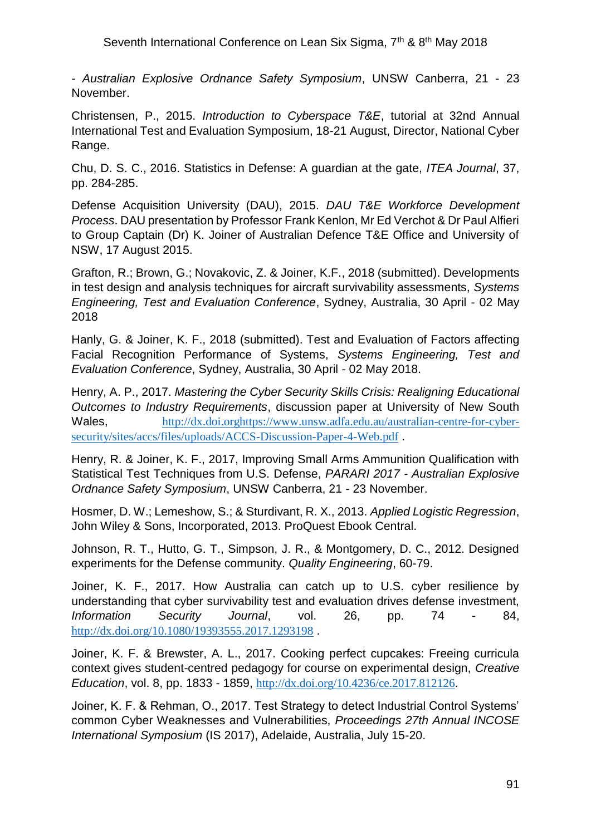*- Australian Explosive Ordnance Safety Symposium*, UNSW Canberra, 21 - 23 November.

Christensen, P., 2015. *Introduction to Cyberspace T&E*, tutorial at 32nd Annual International Test and Evaluation Symposium, 18-21 August, Director, National Cyber Range.

Chu, D. S. C., 2016. Statistics in Defense: A guardian at the gate, *ITEA Journal*, 37, pp. 284-285.

Defense Acquisition University (DAU), 2015. *DAU T&E Workforce Development Process*. DAU presentation by Professor Frank Kenlon, Mr Ed Verchot & Dr Paul Alfieri to Group Captain (Dr) K. Joiner of Australian Defence T&E Office and University of NSW, 17 August 2015.

Grafton, R.; Brown, G.; Novakovic, Z. & Joiner, K.F., 2018 (submitted). Developments in test design and analysis techniques for aircraft survivability assessments, *Systems Engineering, Test and Evaluation Conference*, Sydney, Australia, 30 April - 02 May 2018

Hanly, G. & Joiner, K. F., 2018 (submitted). Test and Evaluation of Factors affecting Facial Recognition Performance of Systems, *Systems Engineering, Test and Evaluation Conference*, Sydney, Australia, 30 April - 02 May 2018.

Henry, A. P., 2017. *Mastering the Cyber Security Skills Crisis: Realigning Educational Outcomes to Industry Requirements*, discussion paper at University of New South Wales, [http://dx.doi.orghttps://www.unsw.adfa.edu.au/australian-centre-for-cyber](http://dx.doi.orghttps/www.unsw.adfa.edu.au/australian-centre-for-cyber-security/sites/accs/files/uploads/ACCS-Discussion-Paper-4-Web.pdf)[security/sites/accs/files/uploads/ACCS-Discussion-Paper-4-Web.pdf](http://dx.doi.orghttps/www.unsw.adfa.edu.au/australian-centre-for-cyber-security/sites/accs/files/uploads/ACCS-Discussion-Paper-4-Web.pdf) .

Henry, R. & Joiner, K. F., 2017, Improving Small Arms Ammunition Qualification with Statistical Test Techniques from U.S. Defense, *PARARI 2017 - Australian Explosive Ordnance Safety Symposium*, UNSW Canberra, 21 - 23 November.

Hosmer, D. W.; Lemeshow, S.; & Sturdivant, R. X., 2013. *Applied Logistic Regression*, John Wiley & Sons, Incorporated, 2013. ProQuest Ebook Central.

Johnson, R. T., Hutto, G. T., Simpson, J. R., & Montgomery, D. C., 2012. Designed experiments for the Defense community. *Quality Engineering*, 60-79.

Joiner, K. F., 2017. How Australia can catch up to U.S. cyber resilience by understanding that cyber survivability test and evaluation drives defense investment, *Information Security Journal*, vol. 26, pp. 74 - 84, <http://dx.doi.org/10.1080/19393555.2017.1293198> .

Joiner, K. F. & Brewster, A. L., 2017. Cooking perfect cupcakes: Freeing curricula context gives student-centred pedagogy for course on experimental design, *Creative Education*, vol. 8, pp. 1833 - 1859, <http://dx.doi.org/10.4236/ce.2017.812126>.

Joiner, K. F. & Rehman, O., 2017. Test Strategy to detect Industrial Control Systems' common Cyber Weaknesses and Vulnerabilities, *Proceedings 27th Annual INCOSE International Symposium* (IS 2017), Adelaide, Australia, July 15-20.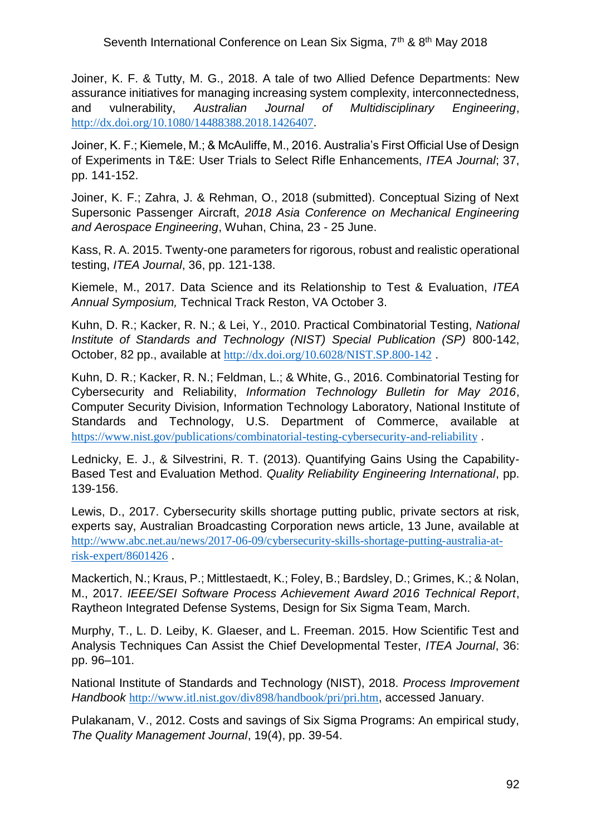Joiner, K. F. & Tutty, M. G., 2018. A tale of two Allied Defence Departments: New assurance initiatives for managing increasing system complexity, interconnectedness, and vulnerability, *Australian Journal of Multidisciplinary Engineering*, <http://dx.doi.org/10.1080/14488388.2018.1426407>.

Joiner, K. F.; Kiemele, M.; & McAuliffe, M., 2016. Australia's First Official Use of Design of Experiments in T&E: User Trials to Select Rifle Enhancements, *ITEA Journal*; 37, pp. 141-152.

Joiner, K. F.; Zahra, J. & Rehman, O., 2018 (submitted). Conceptual Sizing of Next Supersonic Passenger Aircraft, *2018 Asia Conference on Mechanical Engineering and Aerospace Engineering*, Wuhan, China, 23 - 25 June.

Kass, R. A. 2015. Twenty-one parameters for rigorous, robust and realistic operational testing, *ITEA Journal*, 36, pp. 121-138.

Kiemele, M., 2017. Data Science and its Relationship to Test & Evaluation, *ITEA Annual Symposium,* Technical Track Reston, VA October 3.

Kuhn, D. R.; Kacker, R. N.; & Lei, Y., 2010. Practical Combinatorial Testing, *National Institute of Standards and Technology (NIST) Special Publication (SP)* 800-142, October, 82 pp., available at <http://dx.doi.org/10.6028/NIST.SP.800-142> .

Kuhn, D. R.; Kacker, R. N.; Feldman, L.; & White, G., 2016. Combinatorial Testing for Cybersecurity and Reliability, *Information Technology Bulletin for May 2016*, Computer Security Division, Information Technology Laboratory, National Institute of Standards and Technology, U.S. Department of Commerce, available at <https://www.nist.gov/publications/combinatorial-testing-cybersecurity-and-reliability> .

Lednicky, E. J., & Silvestrini, R. T. (2013). Quantifying Gains Using the Capability-Based Test and Evaluation Method. *Quality Reliability Engineering International*, pp. 139-156.

Lewis, D., 2017. Cybersecurity skills shortage putting public, private sectors at risk, experts say, Australian Broadcasting Corporation news article, 13 June, available at [http://www.abc.net.au/news/2017-06-09/cybersecurity-skills-shortage-putting-australia-at](http://www.abc.net.au/news/2017-06-09/cybersecurity-skills-shortage-putting-australia-at-risk-expert/8601426)[risk-expert/8601426](http://www.abc.net.au/news/2017-06-09/cybersecurity-skills-shortage-putting-australia-at-risk-expert/8601426) .

Mackertich, N.; Kraus, P.; Mittlestaedt, K.; Foley, B.; Bardsley, D.; Grimes, K.; & Nolan, M., 2017. *IEEE/SEI Software Process Achievement Award 2016 Technical Report*, Raytheon Integrated Defense Systems, Design for Six Sigma Team, March.

Murphy, T., L. D. Leiby, K. Glaeser, and L. Freeman. 2015. How Scientific Test and Analysis Techniques Can Assist the Chief Developmental Tester, *ITEA Journal*, 36: pp. 96–101.

National Institute of Standards and Technology (NIST), 2018. *Process Improvement Handbook* <http://www.itl.nist.gov/div898/handbook/pri/pri.htm>, accessed January.

Pulakanam, V., 2012. Costs and savings of Six Sigma Programs: An empirical study, *The Quality Management Journal*, 19(4), pp. 39-54.